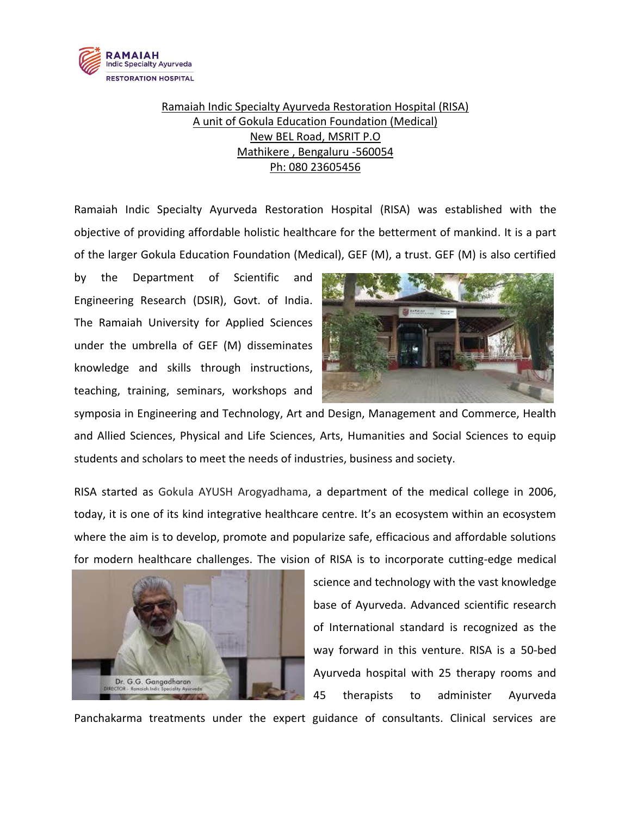

## Ramaiah Indic Specialty Ayurveda Restoration Hospital (RISA) A unit of Gokula Education Foundation (Medical) New BEL Road, MSRIT P.O Mathikere , Bengaluru -560054 Ph: 080 23605456

Ramaiah Indic Specialty Ayurveda Restoration Hospital (RISA) was established with the objective of providing affordable holistic healthcare for the betterment of mankind. It is a part of the larger Gokula Education Foundation (Medical), GEF (M), a trust. GEF (M) is also certified

by the Department of Scientific and Engineering Research (DSIR), Govt. of India. The Ramaiah University for Applied Sciences under the umbrella of GEF (M) disseminates knowledge and skills through instructions, teaching, training, seminars, workshops and



symposia in Engineering and Technology, Art and Design, Management and Commerce, Health and Allied Sciences, Physical and Life Sciences, Arts, Humanities and Social Sciences to equip students and scholars to meet the needs of industries, business and society.

RISA started as Gokula AYUSH Arogyadhama, a department of the medical college in 2006, today, it is one of its kind integrative healthcare centre. It's an ecosystem within an ecosystem where the aim is to develop, promote and popularize safe, efficacious and affordable solutions for modern healthcare challenges. The vision of RISA is to incorporate cutting-edge medical



science and technology with the vast knowledge base of Ayurveda. Advanced scientific research of International standard is recognized as the way forward in this venture. RISA is a 50-bed Ayurveda hospital with 25 therapy rooms and 45 therapists to administer Ayurveda

Panchakarma treatments under the expert guidance of consultants. Clinical services are